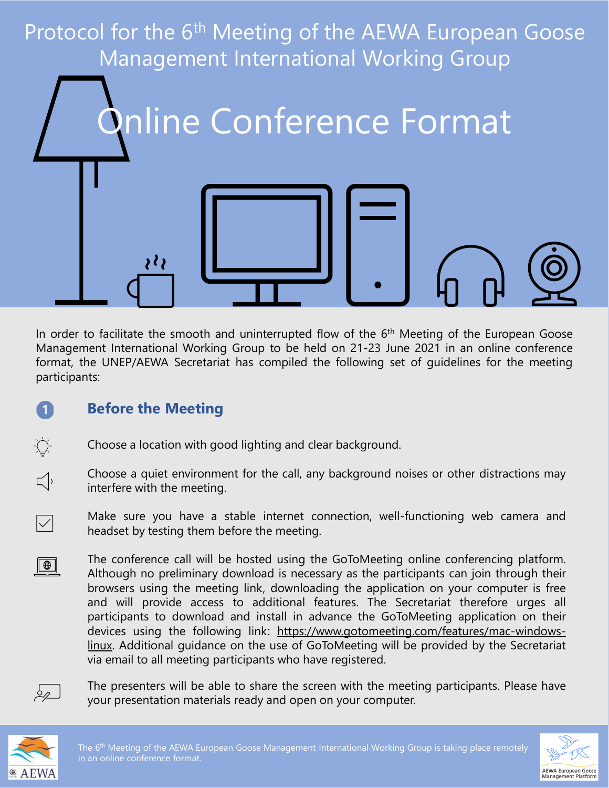

In order to facilitate the smooth and uninterrupted flow of the 6<sup>th</sup> Meeting of the European Goose Management International Working Group to be held on 21-23 June 2021 in an online conference format, the UNEP/AEWA Secretariat has compiled the following set of guidelines for the meeting participants:

## **Before the Meeting**

- Choose a location with good lighting and clear background.
- Choose a quiet environment for the call, any background noises or other distractions may interfere with the meeting.
	- Make sure you have a stable internet connection, well-functioning web camera and headset by testing them before the meeting.
- The conference call will be hosted using the GoToMeeting online conferencing platform.  $\Box$ Although no preliminary download is necessary as the participants can join through their browsers using the meeting link, downloading the application on your computer is free and will provide access to additional features. The Secretariat therefore urges all participants to download and install in advance the GoToMeeting application on their devices using the following link: [https://www.gotomeeting.com/features/mac-windows](https://www.gotomeeting.com/features/mac-windows-linux)linux. Additional guidance on the use of GoToMeeting will be provided by the Secretariat via email to all meeting participants who have registered.

![](_page_0_Picture_7.jpeg)

 $\blacksquare$ 

 $\sum_{i=1}^{n} \sum_{j=1}^{n} \frac{1}{j} \sum_{j=1}^{n} \frac{1}{j} \sum_{j=1}^{n} \frac{1}{j} \sum_{j=1}^{n} \frac{1}{j} \sum_{j=1}^{n} \frac{1}{j} \sum_{j=1}^{n} \frac{1}{j} \sum_{j=1}^{n} \frac{1}{j} \sum_{j=1}^{n} \frac{1}{j} \sum_{j=1}^{n} \frac{1}{j} \sum_{j=1}^{n} \frac{1}{j} \sum_{j=1}^{n} \frac{1}{j} \sum_{j=1}^{n} \frac{1}{j} \sum_{j=1$ 

 $\Box$ 

 $|\!\!\sqrt{ }|$ 

The presenters will be able to share the screen with the meeting participants. Please have your presentation materials ready and open on your computer.

![](_page_0_Picture_9.jpeg)

![](_page_0_Picture_11.jpeg)